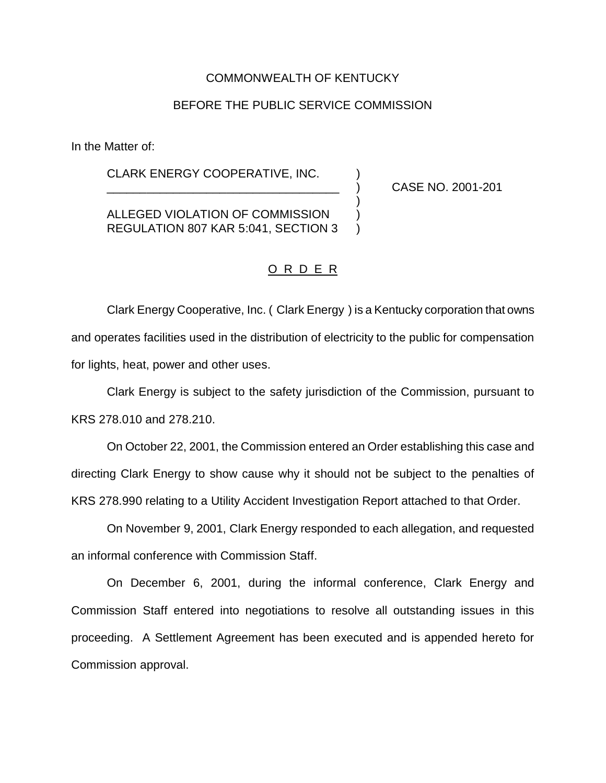# COMMONWEALTH OF KENTUCKY

# BEFORE THE PUBLIC SERVICE COMMISSION

In the Matter of:

CLARK ENERGY COOPERATIVE, INC. )

\_\_\_\_\_\_\_\_\_\_\_\_\_\_\_\_\_\_\_\_\_\_\_\_\_\_\_\_\_\_\_\_\_\_\_ ) CASE NO. 2001-201

ALLEGED VIOLATION OF COMMISSION ) REGULATION 807 KAR 5:041, SECTION 3 )

# O R D E R

)

Clark Energy Cooperative, Inc. ( Clark Energy ) is a Kentucky corporation that owns and operates facilities used in the distribution of electricity to the public for compensation for lights, heat, power and other uses.

Clark Energy is subject to the safety jurisdiction of the Commission, pursuant to KRS 278.010 and 278.210.

On October 22, 2001, the Commission entered an Order establishing this case and directing Clark Energy to show cause why it should not be subject to the penalties of KRS 278.990 relating to a Utility Accident Investigation Report attached to that Order.

On November 9, 2001, Clark Energy responded to each allegation, and requested an informal conference with Commission Staff.

On December 6, 2001, during the informal conference, Clark Energy and Commission Staff entered into negotiations to resolve all outstanding issues in this proceeding. A Settlement Agreement has been executed and is appended hereto for Commission approval.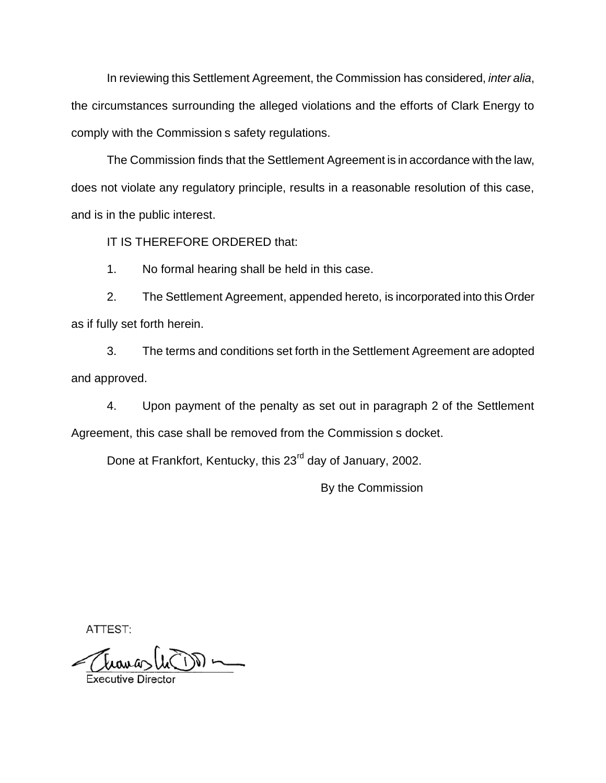In reviewing this Settlement Agreement, the Commission has considered, *inter alia*, the circumstances surrounding the alleged violations and the efforts of Clark Energy to comply with the Commission s safety regulations.

The Commission finds that the Settlement Agreement is in accordance with the law, does not violate any regulatory principle, results in a reasonable resolution of this case, and is in the public interest.

IT IS THEREFORE ORDERED that:

1. No formal hearing shall be held in this case.

2. The Settlement Agreement, appended hereto, is incorporated into this Order as if fully set forth herein.

3. The terms and conditions set forth in the Settlement Agreement are adopted and approved.

4. Upon payment of the penalty as set out in paragraph 2 of the Settlement Agreement, this case shall be removed from the Commission s docket.

Done at Frankfort, Kentucky, this 23<sup>rd</sup> day of January, 2002.

By the Commission

ATTEST:

 $\longrightarrow \widehat{\mathbb{C}}$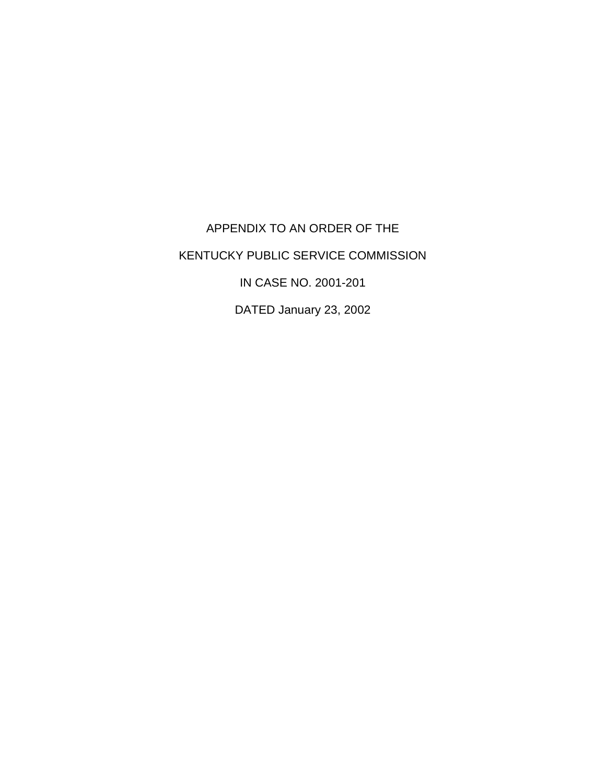APPENDIX TO AN ORDER OF THE KENTUCKY PUBLIC SERVICE COMMISSION IN CASE NO. 2001-201

DATED January 23, 2002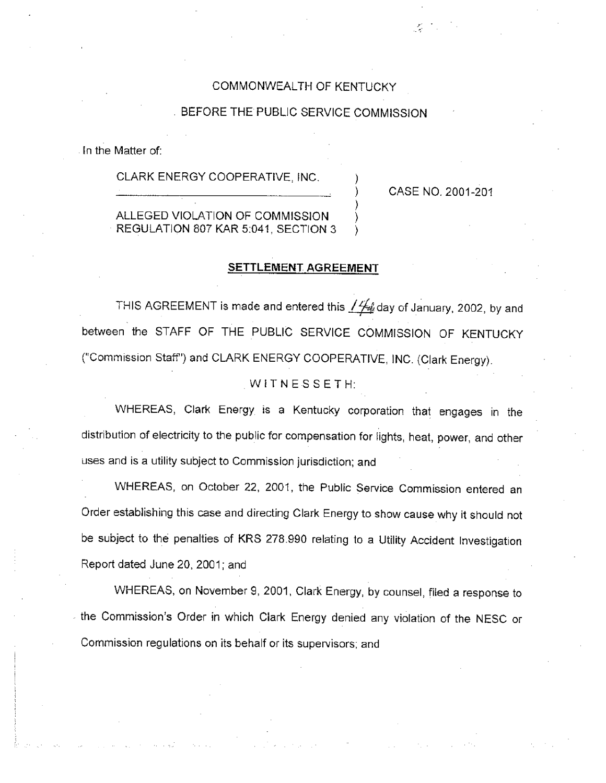## COMMONWEALTH OF KENTUCKY

### BEFORE THE PUBLIC SERVICE COMMISSION

In the Matter of:

CLARK ENERGY COOPERATIVE, INC.

CASE NO. 2001-201

ALLEGED VIOLATION OF COMMISSION REGULATION 807 KAR 5:041, SECTION 3

### SETTLEMENT AGREEMENT

THIS AGREEMENT is made and entered this / 4 day of January, 2002, by and between the STAFF OF THE PUBLIC SERVICE COMMISSION OF KENTUCKY ("Commission Staff") and CLARK ENERGY COOPERATIVE, INC. (Clark Energy).

#### WITNESSETH:

WHEREAS, Clark Energy is a Kentucky corporation that engages in the distribution of electricity to the public for compensation for lights, heat, power, and other uses and is a utility subject to Commission jurisdiction; and

WHEREAS, on October 22, 2001, the Public Service Commission entered an Order establishing this case and directing Clark Energy to show cause why it should not be subject to the penalties of KRS 278.990 relating to a Utility Accident Investigation Report dated June 20, 2001; and

WHEREAS, on November 9, 2001, Clark Energy, by counsel, filed a response to the Commission's Order in which Clark Energy denied any violation of the NESC or Commission regulations on its behalf or its supervisors; and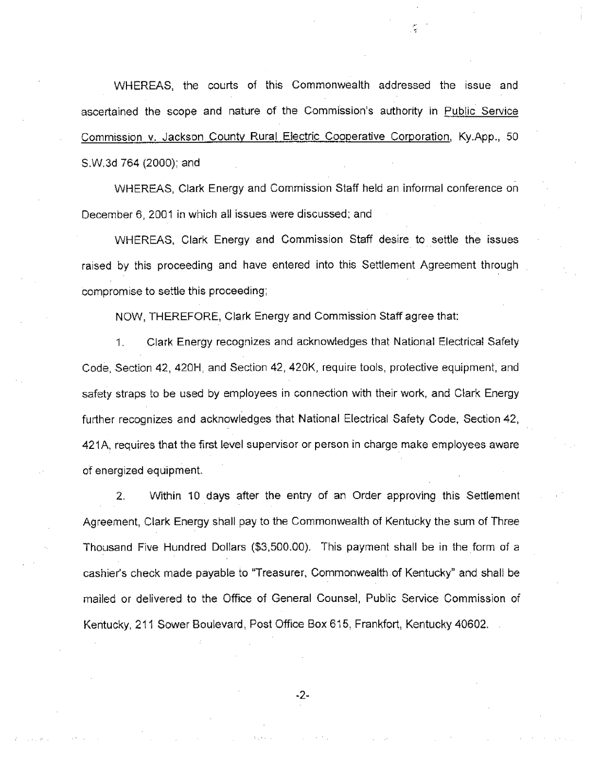WHEREAS, the courts of this Commonwealth addressed the issue and ascertained the scope and nature of the Commission's authority in Public Service Commission v. Jackson County Rural Electric Cooperative Corporation, Ky.App., 50 S.W.3d 764 (2000); and

WHEREAS, Clark Energy and Commission Staff held an informal conference on December 6, 2001 in which all issues were discussed; and

WHEREAS, Clark Energy and Commission Staff desire to settle the issues raised by this proceeding and have entered into this Settlement Agreement through compromise to settle this proceeding;

NOW, THEREFORE, Clark Energy and Commission Staff agree that:

Clark Energy recognizes and acknowledges that National Electrical Safety 1. Code, Section 42, 420H, and Section 42, 420K, require tools, protective equipment, and safety straps to be used by employees in connection with their work, and Clark Energy further recognizes and acknowledges that National Electrical Safety Code, Section 42, 421A, requires that the first level supervisor or person in charge make employees aware of energized equipment.

Within 10 days after the entry of an Order approving this Settlement 2. Agreement, Clark Energy shall pay to the Commonwealth of Kentucky the sum of Three Thousand Five Hundred Dollars (\$3,500.00). This payment shall be in the form of a cashier's check made payable to "Treasurer, Commonwealth of Kentucky" and shall be mailed or delivered to the Office of General Counsel, Public Service Commission of Kentucky, 211 Sower Boulevard, Post Office Box 615, Frankfort, Kentucky 40602.

-2-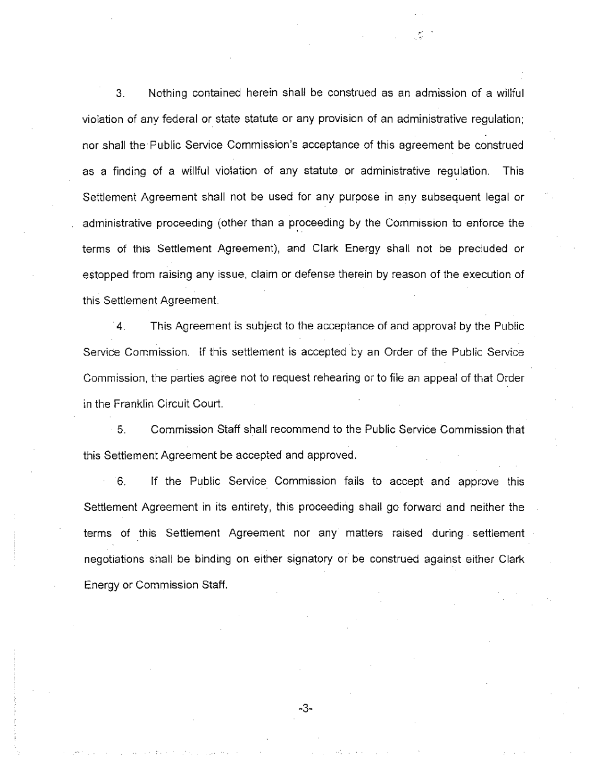3. Nothing contained herein shall be construed as an admission of a willful violation of any federal or state statute or any provision of an administrative regulation; nor shall the Public Service Commission's acceptance of this agreement be construed as a finding of a willful violation of any statute or administrative regulation. This Settlement Agreement shall not be used for any purpose in any subsequent legal or administrative proceeding (other than a proceeding by the Commission to enforce the terms of this Settlement Agreement), and Clark Energy shall not be precluded or estopped from raising any issue, claim or defense therein by reason of the execution of this Settlement Agreement.

This Agreement is subject to the acceptance of and approval by the Public 4. Service Commission. If this settlement is accepted by an Order of the Public Service Commission, the parties agree not to request rehearing or to file an appeal of that Order in the Franklin Circuit Court.

5. Commission Staff shall recommend to the Public Service Commission that this Settlement Agreement be accepted and approved.

6. If the Public Service Commission fails to accept and approve this Settlement Agreement in its entirety, this proceeding shall go forward and neither the terms of this Settlement Agreement nor any matters raised during settlement negotiations shall be binding on either signatory or be construed against either Clark Energy or Commission Staff.

-3-